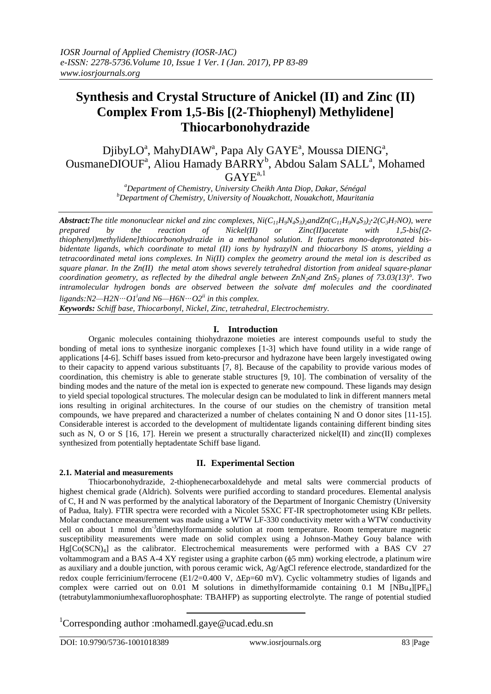# **Synthesis and Crystal Structure of Anickel (II) and Zinc (II) Complex From 1,5-Bis [(2-Thiophenyl) Methylidene] Thiocarbonohydrazide**

DjibyLO<sup>a</sup>, MahyDIAW<sup>a</sup>, Papa Aly GAYE<sup>a</sup>, Moussa DIENG<sup>a</sup>, OusmaneDIOUF<sup>a</sup>, Aliou Hamady BARRY<sup>b</sup>, Abdou Salam SALL<sup>a</sup>, Mohamed  $GAYE^{a,1}$ 

> *<sup>a</sup>Department of Chemistry, University Cheikh Anta Diop, Dakar, Sénégal <sup>b</sup>Department of Chemistry, University of Nouakchott, Nouakchott, Mauritania*

**Abstract:**The title mononuclear nickel and zinc complexes,  $Ni(C_{11}H_9N_4S_3)_2$ andZn $(C_{11}H_9N_4S_3)_2$ : $2(C_3H_7NO)$ , were *prepared by the reaction of Nickel(II) or Zinc(II)acetate with 1,5-bis[(2 thiophenyl)methylidene]thiocarbonohydrazide in a methanol solution. It features mono-deprotonated bisbidentate ligands, which coordinate to metal (II) ions by hydrazylN and thiocarbony lS atoms, yielding a tetracoordinated metal ions complexes. In Ni(II) complex the geometry around the metal ion is described as square planar. In the Zn(II) the metal atom shows severely tetrahedral distortion from anideal square-planar coordination geometry, as reflected by the dihedral angle between ZnN2and ZnS2 planes of 73.03(13)°. Two intramolecular hydrogen bonds are observed between the solvate dmf molecules and the coordinated*   $ligands: N2—H2N\cdots O1<sup>i</sup>$  and  $N6—H6N\cdots O2<sup>ii</sup>$  in this complex.

*Keywords: Schiff base, Thiocarbonyl, Nickel, Zinc, tetrahedral, Electrochemistry.*

# **I. Introduction**

Organic molecules containing thiohydrazone moieties are interest compounds useful to study the bonding of metal ions to synthesize inorganic complexes [1-3] which have found utility in a wide range of applications [4-6]. Schiff bases issued from keto-precursor and hydrazone have been largely investigated owing to their capacity to append various substituants [7, 8]. Because of the capability to provide various modes of coordination, this chemistry is able to generate stable structures [9, 10]. The combination of versality of the binding modes and the nature of the metal ion is expected to generate new compound. These ligands may design to yield special topological structures. The molecular design can be modulated to link in different manners metal ions resulting in original architectures. In the course of our studies on the chemistry of transition metal compounds, we have prepared and characterized a number of chelates containing N and O donor sites [11-15]. Considerable interest is accorded to the development of multidentate ligands containing different binding sites such as N, O or S [16, 17]. Herein we present a structurally characterized nickel(II) and zinc(II) complexes synthesized from potentially heptadentate Schiff base ligand.

# **II. Experimental Section**

# **2.1. Material and measurements**

Thiocarbonohydrazide, 2-thiophenecarboxaldehyde and metal salts were commercial products of highest chemical grade (Aldrich). Solvents were purified according to standard procedures. Elemental analysis of C, H and N was performed by the analytical laboratory of the Department of Inorganic Chemistry (University of Padua, Italy). FTIR spectra were recorded with a Nicolet 5SXC FT-IR spectrophotometer using KBr pellets. Molar conductance measurement was made using a WTW LF-330 conductivity meter with a WTW conductivity cell on about 1 mmol dm<sup>-3</sup>dimethylformamide solution at room temperature. Room temperature magnetic susceptibility measurements were made on solid complex using a Johnson-Mathey Gouy balance with Hg[Co(SCN)4] as the calibrator. Electrochemical measurements were performed with a BAS CV 27 voltammogram and a BAS A-4 XY register using a graphite carbon ( $\phi$ 5 mm) working electrode, a platinum wire as auxiliary and a double junction, with porous ceramic wick, Ag/AgCl reference electrode, standardized for the redox couple ferricinium/ferrocene (E1/2=0.400 V,  $\Delta$ Ep=60 mV). Cyclic voltammetry studies of ligands and complex were carried out on 0.01 M solutions in dimethylformamide containing  $0.1 \text{ M}$  [NBu<sub>4</sub>][PF<sub>6</sub>] (tetrabutylammoniumhexafluorophosphate: TBAHFP) as supporting electrolyte. The range of potential studied

# <sup>1</sup>Corresponding author :mohamedl.gaye@ucad.edu.sn

**.**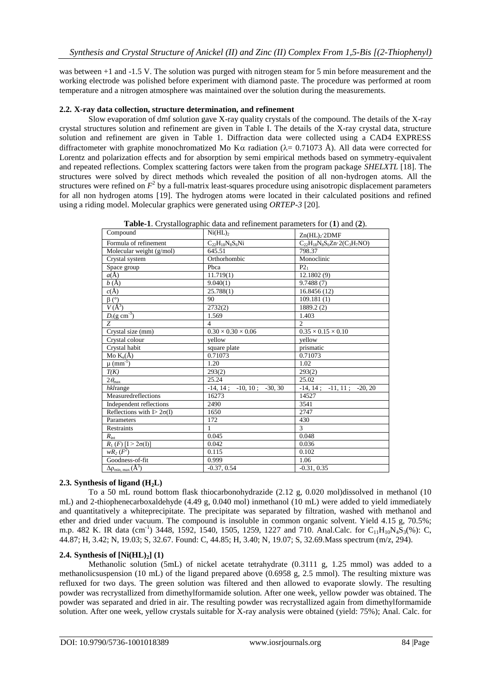was between +1 and -1.5 V. The solution was purged with nitrogen steam for 5 min before measurement and the working electrode was polished before experiment with diamond paste. The procedure was performed at room temperature and a nitrogen atmosphere was maintained over the solution during the measurements.

### **2.2. X-ray data collection, structure determination, and refinement**

Slow evaporation of dmf solution gave X-ray quality crystals of the compound. The details of the X-ray crystal structures solution and refinement are given in Table I. The details of the X-ray crystal data, structure solution and refinement are given in Table 1. Diffraction data were collected using a CAD4 EXPRESS diffractometer with graphite monochromatized Mo K $\alpha$  radiation ( $\lambda$  = 0.71073 Å). All data were corrected for Lorentz and polarization effects and for absorption by semi empirical methods based on symmetry-equivalent and repeated reflections. Complex scattering factors were taken from the program package *SHELXTL* [18]. The structures were solved by direct methods which revealed the position of all non-hydrogen atoms. All the structures were refined on  $F^2$  by a full-matrix least-squares procedure using anisotropic displacement parameters for all non hydrogen atoms [19]. The hydrogen atoms were located in their calculated positions and refined using a riding model. Molecular graphics were generated using *ORTEP-3* [20].

| Compound                          | $Ni(HL)$ <sub>2</sub>          | $Zn(HL)$ <sub>2</sub> DMF                |  |
|-----------------------------------|--------------------------------|------------------------------------------|--|
| Formula of refinement             | $C_{22}H_{18}N_8S_6Ni$         | $C_{22}H_{18}N_8S_6Zn \cdot 2(C_3H_7NO)$ |  |
| Molecular weight (g/mol)          | 645.51                         | 798.37                                   |  |
| Crystal system                    | Orthorhombic                   | Monoclinic                               |  |
| Space group                       | Pbca                           | $P2_1$                                   |  |
| $a(\AA)$                          | 11.719(1)                      | 12.1802 (9)                              |  |
| b(A)                              | 9.040(1)                       | 9.7488(7)                                |  |
| $c(\AA)$                          | 25.788(1)                      | 16.8456 (12)                             |  |
| $\beta$ (°)                       | 90                             | 109.181(1)                               |  |
| $V(A^3)$                          | 2732(2)                        | 1889.2 (2)                               |  |
| $D_c(g \text{ cm}^{-3})$          | 1.569                          | 1.403                                    |  |
| Z                                 | $\overline{4}$                 | $\mathfrak{D}$                           |  |
| Crystal size (mm)                 | $0.30 \times 0.30 \times 0.06$ | $0.35 \times 0.15 \times 0.10$           |  |
| Crystal colour                    | vellow                         | vellow                                   |  |
| Crystal habit                     | square plate                   | prismatic                                |  |
| Mo $K_{\alpha}(\AA)$              | 0.71073                        | 0.71073                                  |  |
| $\mu$ (mm <sup>-1</sup> )         | 1.20                           | 1.02                                     |  |
| T(K)                              | 293(2)                         | 293(2)                                   |  |
| $2\theta_{\text{max}}$            | 25.24                          | 25.02                                    |  |
| hklrange                          | $-14, 14; -10, 10; -30, 30$    | $-14, 14; -11, 11; -20, 20$              |  |
| Measuredreflections               | 16273                          | 14527                                    |  |
| Independent reflections           | 2490                           | 3541                                     |  |
| Reflections with $I > 2\sigma(I)$ | 1650                           | 2747                                     |  |
| Parameters                        | 172                            | 430                                      |  |
| Restraints                        | 1                              | $\mathcal{L}$                            |  |
| $R_{\rm int}$                     | 0.045                          | 0.048                                    |  |
| $R_1$ (F) [I > 2 $\sigma(I)$ ]    | 0.042                          | 0.036                                    |  |
| $wR_2(F^2)$                       | 0.115                          | 0.102                                    |  |
| Goodness-of-fit                   | 0.999                          | 1.06                                     |  |
| $\Delta\rho_{\min, \max}(\AA^3)$  | $-0.37, 0.54$                  | $-0.31, 0.35$                            |  |
|                                   |                                |                                          |  |

**Table-1**. Crystallographic data and refinement parameters for (**1**) and (**2**).

# **2.3. Synthesis of ligand (H2L)**

To a 50 mL round bottom flask thiocarbonohydrazide (2.12 g, 0.020 mol)dissolved in methanol (10 mL) and 2-thiophenecarboxaldehyde (4.49 g, 0.040 mol) inmethanol (10 mL) were added to yield immediately and quantitatively a whiteprecipitate. The precipitate was separated by filtration, washed with methanol and ether and dried under vacuum. The compound is insoluble in common organic solvent. Yield 4.15 g, 70.5%; m.p. 482 K. IR data (cm<sup>-1</sup>) 3448, 1592, 1540, 1505, 1259, 1227 and 710. Anal.Calc. for C<sub>11</sub>H<sub>10</sub>N<sub>4</sub>S<sub>3</sub>(%): C, 44.87; H, 3.42; N, 19.03; S, 32.67. Found: C, 44.85; H, 3.40; N, 19.07; S, 32.69.Mass spectrum (m/z, 294).

# **2.4. Synthesis of [Ni(HL)2] (1)**

Methanolic solution (5mL) of nickel acetate tetrahydrate (0.3111 g, 1.25 mmol) was added to a methanolicsuspension (10 mL) of the ligand prepared above (0.6958 g, 2.5 mmol). The resulting mixture was refluxed for two days. The green solution was filtered and then allowed to evaporate slowly. The resulting powder was recrystallized from dimethylformamide solution. After one week, yellow powder was obtained. The powder was separated and dried in air. The resulting powder was recrystallized again from dimethylformamide solution. After one week, yellow crystals suitable for X-ray analysis were obtained (yield: 75%); Anal. Calc. for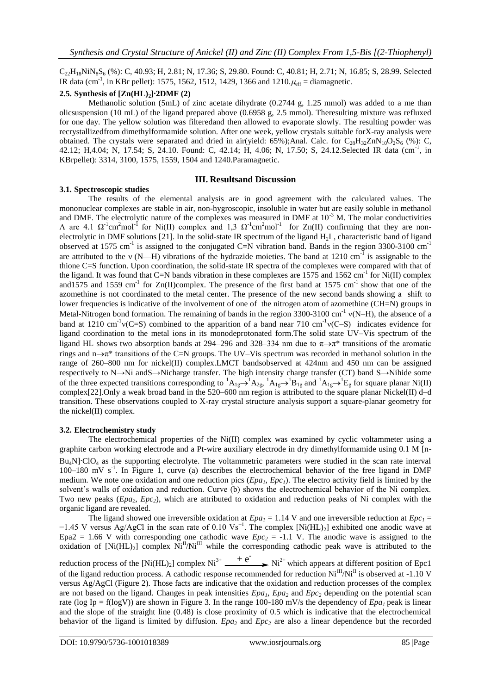$C_{22}H_{18}NiN_8S_6$  (%): C, 40.93; H, 2.81; N, 17.36; S, 29.80. Found: C, 40.81; H, 2.71; N, 16.85; S, 28.99. Selected IR data (cm<sup>-1</sup>, in KBr pellet): 1575, 1562, 1512, 1429, 1366 and 1210. $\mu_{eff}$  = diamagnetic.

# **2.5. Synthesis of [Zn(HL)2] .2DMF (2)**

Methanolic solution (5mL) of zinc acetate dihydrate (0.2744 g, 1.25 mmol) was added to a me than olicsuspension (10 mL) of the ligand prepared above (0.6958 g, 2.5 mmol). Theresulting mixture was refluxed for one day. The yellow solution was filteredand then allowed to evaporate slowly. The resulting powder was recrystallizedfrom dimethylformamide solution. After one week, yellow crystals suitable forX-ray analysis were obtained. The crystals were separated and dried in air(yield: 65%);Anal. Calc. for  $C_{28}H_{32}ZnN_{10}O_2S_6$  (%): C, 42.12; H,4.04; N, 17.54; S, 24.10. Found: C, 42.14; H, 4.06; N, 17.50; S, 24.12. Selected IR data (cm<sup>-1</sup>, in KBrpellet): 3314, 3100, 1575, 1559, 1504 and 1240.Paramagnetic.

### **3.1. Spectroscopic studies**

### **III. Resultsand Discussion**

The results of the elemental analysis are in good agreement with the calculated values. The mononuclear complexes are stable in air, non-hygroscopic, insoluble in water but are easily soluble in methanol and DMF. The electrolytic nature of the complexes was measured in DMF at  $10^{-3}$  M. The molar conductivities  $Λ$  are 4.1 Ω<sup>-1</sup>cm<sup>2</sup>mol<sup>-1</sup> for Ni(II) complex and 1,3 Ω<sup>-1</sup>cm<sup>2</sup>mol<sup>-1</sup> for Zn(II) confirming that they are nonelectrolytic in DMF solutions [21]. In the solid-state IR spectrum of the ligand H2L, characteristic band of ligand observed at 1575 cm<sup>-1</sup> is assigned to the conjugated C=N vibration band. Bands in the region 3300-3100 cm<sup>-1</sup> are attributed to the  $v(N-H)$  vibrations of the hydrazide moieties. The band at 1210 cm<sup>-1</sup> is assignable to the thione C=S function. Upon coordination, the solid-state IR spectra of the complexes were compared with that of the ligand. It was found that C=N bands vibration in these complexes are 1575 and 1562 cm<sup>-1</sup> for Ni(II) complex and 1575 and 1559 cm<sup>-1</sup> for Zn(II)complex. The presence of the first band at 1575 cm<sup>-1</sup> show that one of the azomethine is not coordinated to the metal center. The presence of the new second bands showing a shift to lower frequencies is indicative of the involvement of one of the nitrogen atom of azomethine (CH=N) groups in Metal-Nitrogen bond formation. The remaining of bands in the region 3300-3100 cm<sup>-1</sup>  $v(N-H)$ , the absence of a band at 1210 cm<sup>-1</sup> $v(C= S)$  combined to the apparition of a band near 710 cm<sup>-1</sup> $v(C-S)$  indicates evidence for ligand coordination to the metal ions in its monodeprotonated form.The solid state UV–Vis spectrum of the ligand HL shows two absorption bands at 294–296 and 328–334 nm due to  $\pi \rightarrow \pi^*$  transitions of the aromatic rings and  $n \rightarrow \pi^*$  transitions of the C=N groups. The UV–Vis spectrum was recorded in methanol solution in the range of 260–800 nm for nickel(II) complex.LMCT bandsobserved at 424nm and 450 nm can be assigned respectively to N→Ni andS→Nicharge transfer. The high intensity charge transfer (CT) band S→Nihide some of the three expected transitions corresponding to  ${}^{1}A_{1g} \rightarrow {}^{1}A_{2g}$ ,  ${}^{1}A_{1g} \rightarrow {}^{1}B_{1g}$  and  ${}^{1}A_{1g} \rightarrow {}^{1}E_{g}$  for square planar Ni(II) complex[22].Only a weak broad band in the 520–600 nm region is attributed to the square planar Nickel(II) d–d transition. These observations coupled to X-ray crystal structure analysis support a square-planar geometry for the nickel(II) complex.

### **3.2. Electrochemistry study**

The electrochemical properties of the Ni(II) complex was examined by cyclic voltammeter using a graphite carbon working electrode and a Pt-wire auxiliary electrode in dry dimethylformamide using 0.1 M [n- $Bu_4N$ . ClO<sub>4</sub> as the supporting electrolyte. The voltammetric parameters were studied in the scan rate interval 100–180 mV s<sup>-1</sup>. In Figure 1, curve (a) describes the electrochemical behavior of the free ligand in DMF medium. We note one oxidation and one reduction pics (*Epa1*, *Epc1*). The electro activity field is limited by the solvent's walls of oxidation and reduction. Curve (b) shows the electrochemical behavior of the Ni complex. Two new peaks (*Epa2*, *Epc2*), which are attributed to oxidation and reduction peaks of Ni complex with the organic ligand are revealed.

The ligand showed one irreversible oxidation at  $Epa_1 = 1.14$  V and one irreversible reduction at  $Epc_1 =$  $-1.45$  V versus Ag/AgCl in the scan rate of 0.10 Vs<sup>-1</sup>. The complex [Ni(HL)<sub>2</sub>] exhibited one anodic wave at Epa2 = 1.66 V with corresponding one cathodic wave  $Epc<sub>2</sub> = -1.1$  V. The anodic wave is assigned to the oxidation of  $[Ni(HL)_2]$  complex  $Ni<sup>H</sup>/Ni<sup>III</sup>$  while the corresponding cathodic peak wave is attributed to the

reduction process of the  $[Ni(HL)_2]$  complex  $Ni^{3+}$   $+e^ \longrightarrow$   $Ni^{2+}$  which appears at different position of Epc1 of the ligand reduction process. A cathodic response recommended for reduction  $Ni^{III}/Ni^{II}$  is observed at -1.10 V versus Ag/AgCl (Figure 2). Those facts are indicative that the oxidation and reduction processes of the complex are not based on the ligand. Changes in peak intensities  $Epa_1$ ,  $Epa_2$  and  $Epc_2$  depending on the potential scan rate (log Ip = f(logV)) are shown in Figure 3. In the range 100-180 mV/s the dependency of  $Epa<sub>I</sub>$  peak is linear and the slope of the straight line (0.48) is close proximity of 0.5 which is indicative that the electrochemical behavior of the ligand is limited by diffusion. *Epa<sup>2</sup>* and *Epc<sup>2</sup>* are also a linear dependence but the recorded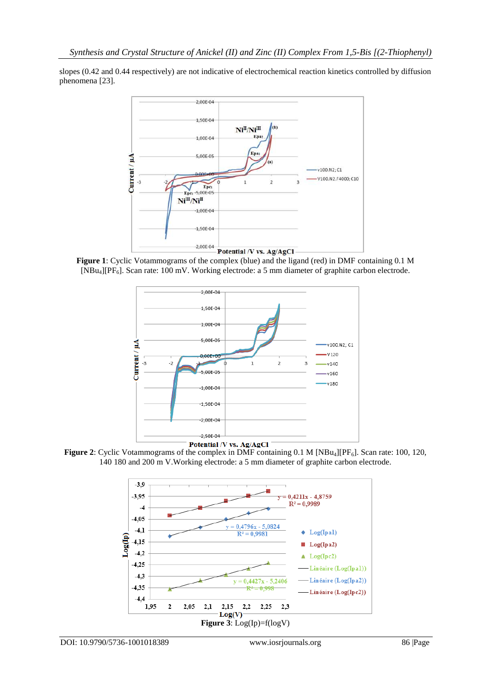slopes (0.42 and 0.44 respectively) are not indicative of electrochemical reaction kinetics controlled by diffusion phenomena [23].



**Figure 1**: Cyclic Votammograms of the complex (blue) and the ligand (red) in DMF containing 0.1 M [NBu4][PF6]. Scan rate: 100 mV. Working electrode: a 5 mm diameter of graphite carbon electrode.



**Figure 2**: Cyclic Votammograms of the complex in DMF containing 0.1 M [NBu<sub>4</sub>][PF<sub>6</sub>]. Scan rate: 100, 120, 140 180 and 200 m V.Working electrode: a 5 mm diameter of graphite carbon electrode.

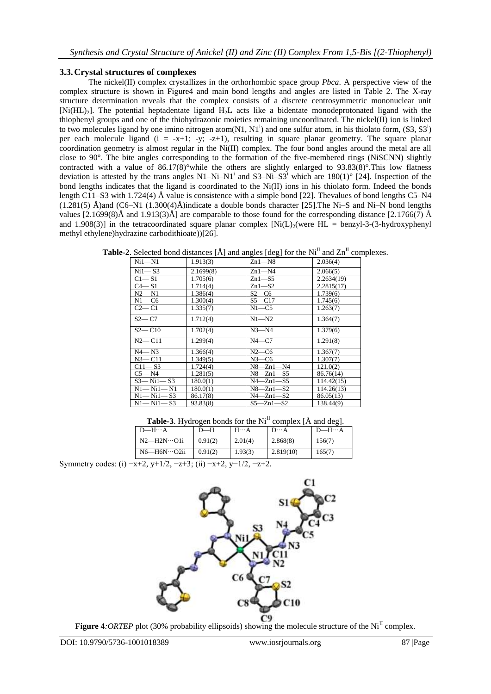# **3.3.Crystal structures of complexes**

The nickel(II) complex crystallizes in the orthorhombic space group *Pbca*. A perspective view of the complex structure is shown in Figure4 and main bond lengths and angles are listed in Table 2. The X-ray structure determination reveals that the complex consists of a discrete centrosymmetric mononuclear unit  $[Ni(HL)_2]$ . The potential heptadentate ligand  $H_2L$  acts like a bidentate monodeprotonated ligand with the thiophenyl groups and one of the thiohydrazonic moieties remaining uncoordinated. The nickel(II) ion is linked to two molecules ligand by one imino nitrogen atom $(N1, N1^i)$  and one sulfur atom, in his thiolato form,  $(S3, S3^i)$ per each molecule ligand ( $i = -x+1$ ;  $-y$ ;  $-z+1$ ), resulting in square planar geometry. The square planar coordination geometry is almost regular in the Ni(II) complex. The four bond angles around the metal are all close to 90°. The bite angles corresponding to the formation of the five-membered rings (NiSCNN) slightly contracted with a value of  $86.17(8)^\circ$  while the others are slightly enlarged to  $93.83(8)^\circ$ . This low flatness deviation is attested by the trans angles  $N1-Ni-N1$ <sup>i</sup> and  $S3-Ni-S3$ <sup>i</sup> which are  $180(1)^\circ$  [24]. Inspection of the bond lengths indicates that the ligand is coordinated to the Ni(II) ions in his thiolato form. Indeed the bonds length C11–S3 with 1.724(4) Å value is consistence with a simple bond [22]. Thevalues of bond lengths C5–N4  $(1.281(5)$  Å)and  $(C6-N1)$   $(1.300(4)$ Å)indicate a double bonds character [25]. The Ni–S and Ni–N bond lengths values  $[2.1699(8)\text{\AA}$  and  $1.913(3)\text{\AA}$  are comparable to those found for the corresponding distance  $[2.1766(7)\text{\AA}$ and 1.908(3)] in the tetracoordinated square planar complex  $[Ni(L)]$  (were HL = benzyl-3-(3-hydroxyphenyl methyl ethylene)hydrazine carbodithioate))[26].

| Ni1—N1          | 1.913(3)  | $Zn1 - N8$           | 2.036(4)   |
|-----------------|-----------|----------------------|------------|
| $Ni1 - S3$      | 2.1699(8) | $Zn1 - N4$           | 2.066(5)   |
| $C1 - S1$       | 1.705(6)  | $Zn1$ —S5            | 2.2634(19) |
| $C4 - S1$       | 1.714(4)  | $Zn1-S2$             | 2.2815(17) |
| $N2 - N1$       | 1.386(4)  | $S2-C6$              | 1.739(6)   |
| $N1 - C6$       | 1.300(4)  | $S5 - C17$           | 1.745(6)   |
| $C2-C1$         | 1.335(7)  | $N1$ —C5             | 1.263(7)   |
| $S2 - C7$       | 1.712(4)  | $N1 - N2$            | 1.364(7)   |
| $S2 - C10$      | 1.702(4)  | $N3 - N4$            | 1.379(6)   |
| $N2 - C11$      | 1.299(4)  | $N4$ —C7             | 1.291(8)   |
| $N4 - N3$       | 1.366(4)  | $N2-C6$              | 1.367(7)   |
| $N3 - C11$      | 1.349(5)  | $N3$ —C6             | 1.307(7)   |
| $C11 - S3$      | 1.724(4)  | $N8$ —Zn1—N4         | 121.0(2)   |
| $C5 - N4$       | 1.281(5)  | $N8 - Zn1 - S5$      | 86.76(14)  |
| $S3 - Ni1 - S3$ | 180.0(1)  | $N4 - Zn1 - S5$      | 114.42(15) |
| $N1 - N11 - N1$ | 180.0(1)  | $N8-$<br>$-Zn1 - S2$ | 114.26(13) |
| $N1 - Ni1 - S3$ | 86.17(8)  | $N4 - Zn1 - S2$      | 86.05(13)  |
| $N1 - N11 - S3$ | 93.83(8)  | $S5 - Zn1 - S2$      | 138.44(9)  |

**Table-2**. Selected bond distances  $[\hat{A}]$  and angles  $[\text{deg}]$  for the  $Ni<sup>H</sup>$  and  $Zn<sup>H</sup>$  complexes.

| <b>Table-3.</b> Hydrogen bonds for the $NiH$ complex $\hat{A}$ and deg]. |         |              |              |                   |  |  |
|--------------------------------------------------------------------------|---------|--------------|--------------|-------------------|--|--|
| $D$ —H…A                                                                 | $D$ —H  | $H \cdots A$ | $D \cdots A$ | $D$ —H $\cdots$ A |  |  |
| $N2$ —H2N…O1i                                                            | 0.91(2) | 2.01(4)      | 2.868(8)     | 156(7)            |  |  |
| $N6$ —H $6N \cdots$ O2ii                                                 | 0.91(2) | 1.93(3)      | 2.819(10)    | 165(7)            |  |  |
| $\sim$ $\sim$                                                            |         |              |              |                   |  |  |

Symmetry codes: (i)  $-x+2$ , y+1/2,  $-z+3$ ; (ii)  $-x+2$ , y-1/2,  $-z+2$ .



**Figure 4***:ORTEP* plot (30% probability ellipsoids) showing the molecule structure of the Ni<sup>II</sup> complex.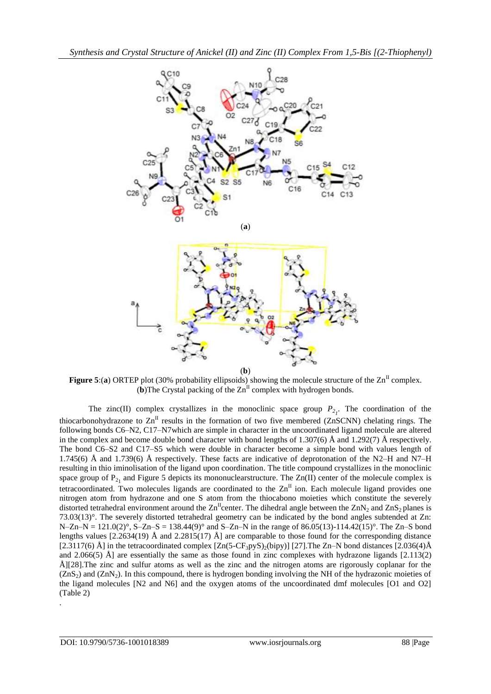

**Figure 5:(a) ORTEP** plot (30% probability ellipsoids) showing the molecule structure of the  $\text{Zn}^{\text{II}}$  complex.  $(b)$ The Crystal packing of the  $\text{Zn}^{\text{II}}$  complex with hydrogen bonds.

The zinc(II) complex crystallizes in the monoclinic space group  $P_{2}$ . The coordination of the thiocarbonohydrazone to  $\text{Zn}^{\text{II}}$  results in the formation of two five membered (ZnSCNN) chelating rings. The following bonds C6–N2, C17–N7which are simple in character in the uncoordinated ligand molecule are altered in the complex and become double bond character with bond lengths of 1.307(6)  $\AA$  and 1.292(7)  $\AA$  respectively. The bond C6–S2 and C17–S5 which were double in character become a simple bond with values length of 1.745(6) Å and 1.739(6) Å respectively. These facts are indicative of deprotonation of the N2–H and N7–H resulting in thio iminolisation of the ligand upon coordination. The title compound crystallizes in the monoclinic space group of  $P_{21}$  and Figure 5 depicts its mononuclearstructure. The Zn(II) center of the molecule complex is tetracoordinated. Two molecules ligands are coordinated to the  $\text{Zn}^{\text{II}}$  ion. Each molecule ligand provides one nitrogen atom from hydrazone and one S atom from the thiocabono moieties which constitute the severely distorted tetrahedral environment around the  $\text{Zn}^{\text{II}}$ center. The dihedral angle between the  $\text{Zn}N_2$  and  $\text{Zn}S_2$  planes is 73.03(13)°. The severely distorted tetrahedral geometry can be indicated by the bond angles subtended at Zn:  $N-Zn-N = 121.0(2)°$ ,  $S-Zn-S = 138.44(9)°$  and  $S-Zn-N$  in the range of 86.05(13)-114.42(15)°. The Zn–S bond lengths values  $[2.2634(19)$  Å and  $2.2815(17)$  Å] are comparable to those found for the corresponding distance [2.3117(6) Å] in the tetracoordinated complex  $[Zn(5-CF_3pyS)_2(bipy)]$  [27]. The Zn–N bond distances [2.036(4)Å and 2.066(5)  $\AA$  are essentially the same as those found in zinc complexes with hydrazone ligands [2.113(2) Å][28].The zinc and sulfur atoms as well as the zinc and the nitrogen atoms are rigorously coplanar for the  $(ZnS<sub>2</sub>)$  and  $(ZnN<sub>2</sub>)$ . In this compound, there is hydrogen bonding involving the NH of the hydrazonic moieties of the ligand molecules [N2 and N6] and the oxygen atoms of the uncoordinated dmf molecules [O1 and O2] (Table 2) .